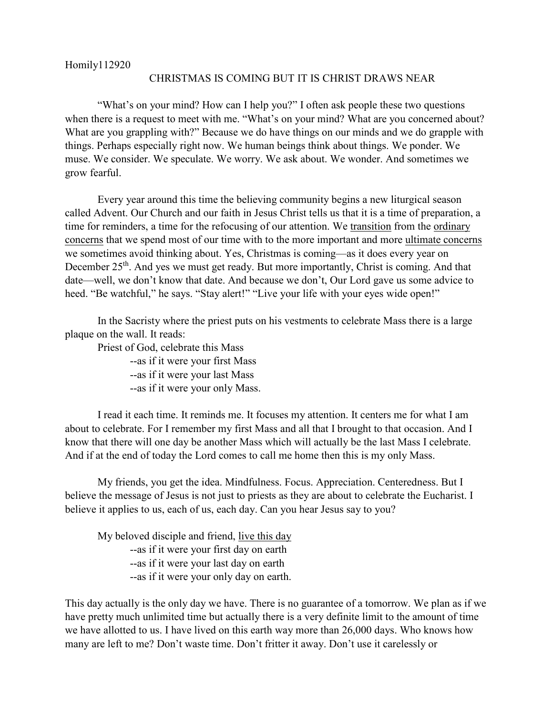Homily112920

## CHRISTMAS IS COMING BUT IT IS CHRIST DRAWS NEAR

"What's on your mind? How can I help you?" I often ask people these two questions when there is a request to meet with me. "What's on your mind? What are you concerned about? What are you grappling with?" Because we do have things on our minds and we do grapple with things. Perhaps especially right now. We human beings think about things. We ponder. We muse. We consider. We speculate. We worry. We ask about. We wonder. And sometimes we grow fearful.

Every year around this time the believing community begins a new liturgical season called Advent. Our Church and our faith in Jesus Christ tells us that it is a time of preparation, a time for reminders, a time for the refocusing of our attention. We transition from the ordinary concerns that we spend most of our time with to the more important and more ultimate concerns we sometimes avoid thinking about. Yes, Christmas is coming—as it does every year on December 25<sup>th</sup>. And yes we must get ready. But more importantly, Christ is coming. And that date—well, we don't know that date. And because we don't, Our Lord gave us some advice to heed. "Be watchful," he says. "Stay alert!" "Live your life with your eyes wide open!"

In the Sacristy where the priest puts on his vestments to celebrate Mass there is a large plaque on the wall. It reads:

Priest of God, celebrate this Mass

--as if it were your first Mass

--as if it were your last Mass

--as if it were your only Mass.

I read it each time. It reminds me. It focuses my attention. It centers me for what I am about to celebrate. For I remember my first Mass and all that I brought to that occasion. And I know that there will one day be another Mass which will actually be the last Mass I celebrate. And if at the end of today the Lord comes to call me home then this is my only Mass.

My friends, you get the idea. Mindfulness. Focus. Appreciation. Centeredness. But I believe the message of Jesus is not just to priests as they are about to celebrate the Eucharist. I believe it applies to us, each of us, each day. Can you hear Jesus say to you?

My beloved disciple and friend, live this day --as if it were your first day on earth --as if it were your last day on earth --as if it were your only day on earth.

This day actually is the only day we have. There is no guarantee of a tomorrow. We plan as if we have pretty much unlimited time but actually there is a very definite limit to the amount of time we have allotted to us. I have lived on this earth way more than 26,000 days. Who knows how many are left to me? Don't waste time. Don't fritter it away. Don't use it carelessly or